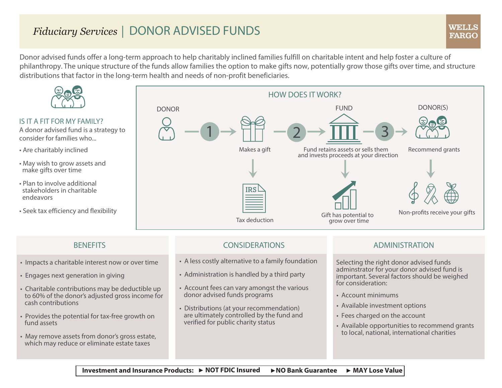# *Fiduciary Services* | DONOR ADVISED FUNDS

Donor advised funds offer a long-term approach to help charitably inclined families fulfill on charitable intent and help foster a culture of philanthropy. The unique structure of the funds allow families the option to make gifts now, potentially grow those gifts over time, and structure distributions that factor in the long-term health and needs of non-profit beneficiaries.



### IS IT A FIT FOR MY FAMILY?

A donor advised fund is a strategy to consider for families who...

- Are charitably inclined
- May wish to grow assets and make gifts over time
- Plan to involve additional stakeholders in charitable endeavors
- Seek tax efficiency and flexibility



- Impacts a charitable interest now or over time
- Engages next generation in giving
- Charitable contributions may be deductible up to 60% of the donor's adjusted gross income for cash contributions
- Provides the potential for tax-free growth on fund assets
- May remove assets from donor's gross estate, which may reduce or eliminate estate taxes

## BENEFITS CONSIDERATIONS ADMINISTRATION

- A less costly alternative to a family foundation
- Administration is handled by a third party
- Account fees can vary amongst the various donor advised funds programs
- Distributions (at your recommendation) are ultimately controlled by the fund and verified for public charity status

Selecting the right donor advised funds adminstrator for your donor advised fund is important. Several factors should be weighed for consideration:

- Account minimums
- Available investment options
- Fees charged on the account
- Available opportunities to recommend grants to local, national, international charities